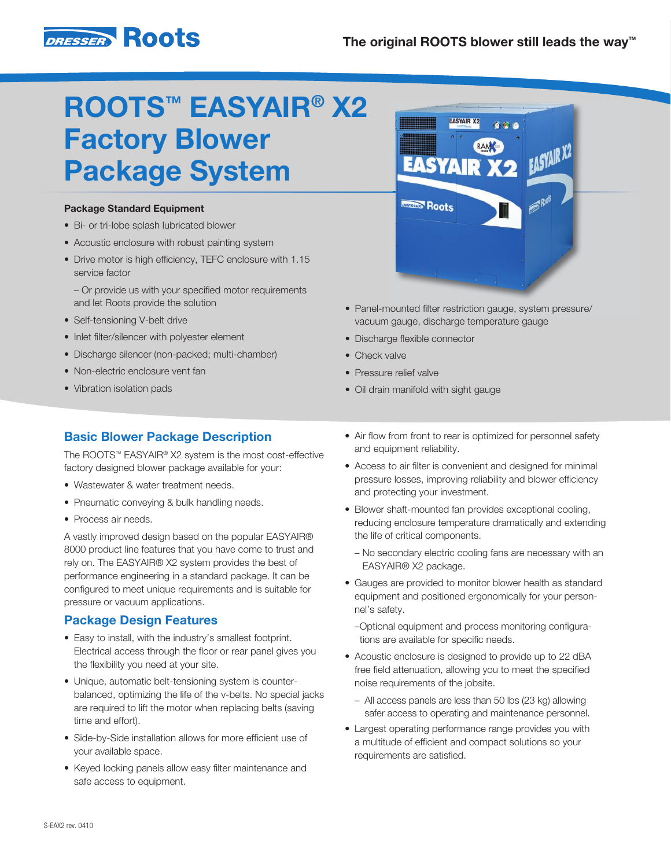

# ROOTS™ EASYAIR® X2 Factory Blower Package System

#### Package Standard Equipment

- Bi- or tri-lobe splash lubricated blower
- Acoustic enclosure with robust painting system
- Drive motor is high efficiency, TEFC enclosure with 1.15 service factor

 – Or provide us with your specified motor requirements and let Roots provide the solution

- Self-tensioning V-belt drive
- Inlet filter/silencer with polyester element
- Discharge silencer (non-packed; multi-chamber)
- Non-electric enclosure vent fan
- Vibration isolation pads

# **EASYAIR X2** EASYAIR X2 **EASYAIR DRESSED Roots**

- Panel-mounted filter restriction gauge, system pressure/ vacuum gauge, discharge temperature gauge
- Discharge flexible connector
- Check valve
- Pressure relief valve
- Oil drain manifold with sight gauge

## Basic Blower Package Description

The ROOTS™ EASYAIR® X2 system is the most cost-effective factory designed blower package available for your:

- Wastewater & water treatment needs.
- Pneumatic conveying & bulk handling needs.
- Process air needs.

A vastly improved design based on the popular EASYAIR® 8000 product line features that you have come to trust and rely on. The EASYAIR® X2 system provides the best of performance engineering in a standard package. It can be configured to meet unique requirements and is suitable for pressure or vacuum applications.

### Package Design Features

- Easy to install, with the industry's smallest footprint. Electrical access through the floor or rear panel gives you the flexibility you need at your site.
- Unique, automatic belt-tensioning system is counterbalanced, optimizing the life of the v-belts. No special jacks are required to lift the motor when replacing belts (saving time and effort).
- Side-by-Side installation allows for more efficient use of your available space.
- Keyed locking panels allow easy filter maintenance and safe access to equipment.
- Air flow from front to rear is optimized for personnel safety and equipment reliability.
- Access to air filter is convenient and designed for minimal pressure losses, improving reliability and blower efficiency and protecting your investment.
- Blower shaft-mounted fan provides exceptional cooling, reducing enclosure temperature dramatically and extending the life of critical components.
	- No secondary electric cooling fans are necessary with an EASYAIR® X2 package.
- Gauges are provided to monitor blower health as standard equipment and positioned ergonomically for your personnel's safety.
	- Optional equipment and process monitoring configurations are available for specific needs.
- Acoustic enclosure is designed to provide up to 22 dBA free field attenuation, allowing you to meet the specified noise requirements of the jobsite.
	- All access panels are less than 50 lbs (23 kg) allowing safer access to operating and maintenance personnel.
- Largest operating performance range provides you with a multitude of efficient and compact solutions so your requirements are satisfied.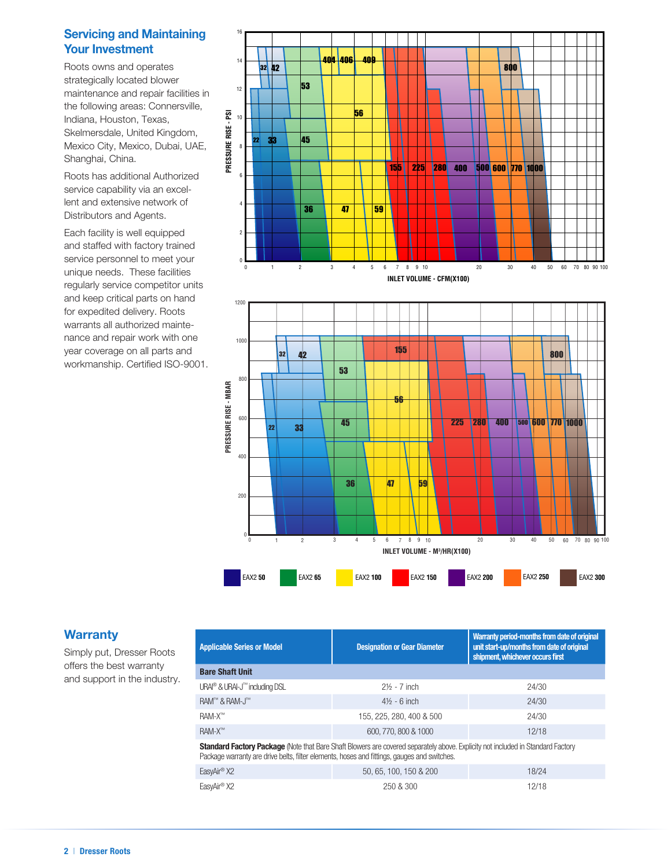### Servicing and Maintaining Your Investment

Mexico City, Mexico, Dubai, UAE, strategically located blower<br>maintenance and repair facilities in<br>the fallowing ersea: Connera ille Roots owns and operates strategically located blower the following areas: Connersville, Skelmersdale, United Kingdom, Shanghai, China.

service capability via an excellent and extensive network of<br>Distributors and Agents Roots has additional Authorized Distributors and Agents.

and staffed with factory trained regularly service competitor units nance and repair work with one **Pressure**<br>**PRESSURE XC**<br>
Rise CC warrants all authorized mainte-Each facility is well equipped service personnel to meet your unique needs. These facilities and keep critical parts on hand for expedited delivery. Roots year coverage on all parts and workmanship. Certified ISO-9001.



### **Warranty**

Simply put, Dresser Roots offers the best warranty and support in the industry.

| <b>Applicable Series or Model</b>                                                                                                                                                                                                      | <b>Designation or Gear Diameter</b> | Warranty period-months from date of original<br>unit start-up/months from date of original<br>shipment, whichever occurs first |  |  |  |  |  |
|----------------------------------------------------------------------------------------------------------------------------------------------------------------------------------------------------------------------------------------|-------------------------------------|--------------------------------------------------------------------------------------------------------------------------------|--|--|--|--|--|
| <b>Bare Shaft Unit</b>                                                                                                                                                                                                                 |                                     |                                                                                                                                |  |  |  |  |  |
| URAI® & URAI-J™ including DSL                                                                                                                                                                                                          | $2\frac{1}{2}$ - 7 inch             | 24/30                                                                                                                          |  |  |  |  |  |
| RAM™ & RAM-J™                                                                                                                                                                                                                          | $4\frac{1}{2}$ - 6 inch             | 24/30                                                                                                                          |  |  |  |  |  |
| RAM-X <sup>™</sup>                                                                                                                                                                                                                     | 155, 225, 280, 400 & 500            | 24/30                                                                                                                          |  |  |  |  |  |
| <b>RAM-X™</b>                                                                                                                                                                                                                          | 600, 770, 800 & 1000                | 12/18                                                                                                                          |  |  |  |  |  |
| <b>Standard Factory Package</b> (Note that Bare Shaft Blowers are covered separately above. Explicity not included in Standard Factory<br>Realized warranty are drive bolte, filter elements, becase and fittings, gauges and ewitches |                                     |                                                                                                                                |  |  |  |  |  |

| Package warranty are drive belts, filter elements, hoses and fittings, gauges and switches. |                        |       |  |  |  |  |  |  |
|---------------------------------------------------------------------------------------------|------------------------|-------|--|--|--|--|--|--|
| EasvAir® X2                                                                                 | 50, 65, 100, 150 & 200 | 18/24 |  |  |  |  |  |  |
| EasyAir® X2                                                                                 | 250 & 300              | 12/18 |  |  |  |  |  |  |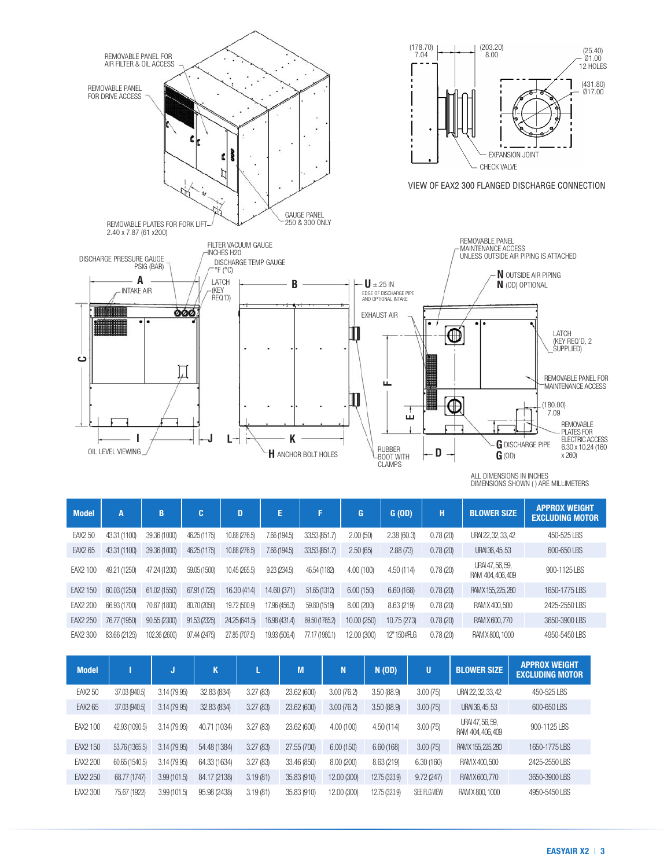

| <b>Model</b>    | A            | B             | c            | D             | E             |                | G.          | G(OD)       | H        | <b>BLOWER SIZE</b>                    | AFFNUA WEIUNI<br><b>EXCLUDING MOTOR</b> |
|-----------------|--------------|---------------|--------------|---------------|---------------|----------------|-------------|-------------|----------|---------------------------------------|-----------------------------------------|
| <b>EAX2 50</b>  | 43.31 (1100) | 39.36 (1000)  | 46.25 (1175) | 10.88 (276.5) | 7.66 (194.5)  | 33.53 (851.7)  | 2.00(50)    | 2.38(60.3)  | 0.78(20) | URAI 22, 32, 33, 42                   | 450-525 LBS                             |
| EAX2 65         | 43.31 (1100) | 39.36 (1000)  | 46.25 (1175) | 10.88 (276.5) | 7.66 (194.5)  | 33.53 (851.7)  | 2.50(65)    | 2.88(73)    | 0.78(20) | URAI 36, 45, 53                       | 600-650 LBS                             |
| EAX2 100        | 49.21 (1250) | 47.24 (1200)  | 59.05 (1500) | 10.45 (265.5) | 9.23(234.5)   | 46.54 (1182)   | 4.00(100)   | 4.50 (114)  | 0.78(20) | URAI 47, 56, 59,<br>RAM 404, 406, 409 | 900-1125 LBS                            |
| EAX2 150        | 60.03 (1250) | 61.02 (1550)  | 67.91 (1725) | 16.30 (414)   | 14.60 (371)   | 51.65 (1312)   | 6.00(150)   | 6.60(168)   | 0.78(20) | RAM X 155, 225, 280                   | 1650-1775 LBS                           |
| <b>EAX2 200</b> | 66.93 (1700) | 70.87 (1800)  | 80.70 (2050) | 19.72 (500.9) | 17.96 (456.3) | 59.80 (1519)   | 8.00(200)   | 8.63 (219)  | 0.78(20) | RAM X 400, 500                        | 2425-2550 LBS                           |
| EAX2 250        | 76.77 (1950) | 90.55 (2300)  | 91.53 (2325) | 24.25 (641.5) | 16.98 (431.4) | 69.50 (1765.2) | 10.00 (250) | 10.75 (273) | 0.78(20) | RAM X 600, 770                        | 3650-3900 LBS                           |
| EAX2 300        | 83.66 (2125) | 102.36 (2600) | 97.44 (2475) | 27.85 (707.5) | 19.93 (506.4) | 77.17 (1960.1) | 12.00 (300) | 12"150#FLG  | 0.78(20) | RAM X 800, 1000                       | 4950-5450 LBS                           |

| <b>Model</b>    |                | J            | K            |          | M           | N           | N(OD)         | Ū            | <b>BLOWER SIZE</b>                    | <b>APPROX WEIGHT</b><br><b>EXCLUDING MOTOR</b> |
|-----------------|----------------|--------------|--------------|----------|-------------|-------------|---------------|--------------|---------------------------------------|------------------------------------------------|
| EAX2 50         | 37.03 (940.5)  | 3.14 (79.95) | 32.83 (834)  | 3.27(83) | 23.62 (600) | 3.00(76.2)  | 3.50(88.9)    | 3.00(75)     | URAI 22, 32, 33, 42                   | 450-525 LBS                                    |
| EAX2 65         | 37.03 (940.5)  | 3.14(79.95)  | 32.83 (834)  | 3.27(83) | 23.62 (600) | 3.00(76.2)  | 3.50(88.9)    | 3.00(75)     | URAI 36, 45, 53                       | 600-650 LBS                                    |
| EAX2 100        | 42.93 (1090.5) | 3.14 (79.95) | 40.71 (1034) | 3.27(83) | 23.62 (600) | 4.00(100)   | 4.50(114)     | 3.00(75)     | URAI 47, 56, 59,<br>RAM 404, 406, 409 | 900-1125 LBS                                   |
| EAX2 150        | 53.76 (1365.5) | 3.14(79.95)  | 54.48 (1384) | 3.27(83) | 27.55 (700) | 6.00(150)   | 6.60(168)     | 3.00(75)     | RAM X 155, 225, 280                   | 1650-1775 LBS                                  |
| <b>EAX2 200</b> | 60.65 (1540.5) | 3.14 (79.95) | 64.33 (1634) | 3.27(83) | 33.46 (850) | 8.00 (200)  | 8.63 (219)    | 6.30(160)    | RAM X 400,500                         | 2425-2550 LBS                                  |
| EAX2 250        | 68.77 (1747)   | 3.99(101.5)  | 84.17 (2138) | 3.19(81) | 35.83 (910) | 12.00 (300) | 12.75 (323.9) | 9.72(247)    | RAM X 600, 770                        | 3650-3900 LBS                                  |
| EAX2 300        | 75.67 (1922)   | 3.99(101.5)  | 95.98 (2438) | 3.19(81) | 35.83 (910) | 12.00 (300) | 12.75 (323.9) | SEE FLG VIEW | RAM X 800, 1000                       | 4950-5450 LBS                                  |